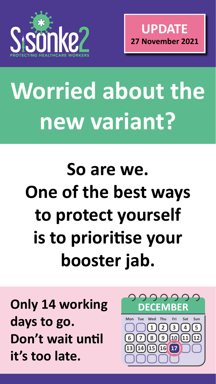

# Worried about the **new variant?**

## **So are we. One of the best ways to protect yourself is to prioritise your**

### **booster jab.**

#### **Only 14 working days to go. Don't wait until it's too late.**



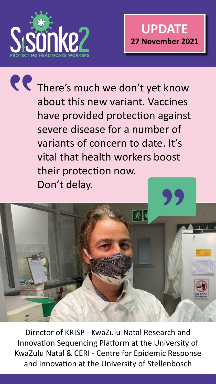

Director of KRISP - KwaZulu-Natal Research and Innovation Sequencing Platform at the University of KwaZulu Natal & CERI - Centre for Epidemic Response and Innovation at the University of Stellenbosch

R There's much we don't yet know about this new variant. Vaccines have provided protection against severe disease for a number of variants of concern to date. It's vital that health workers boost their protection now. Don't delay.

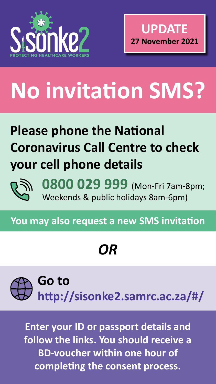

**0800 029 999** (Mon-Fri 7am-8pm; Weekends & public holidays 8am-6pm)

**You may also request a new SMS invitation**

## **No invitation SMS?**

#### **Please phone the National Coronavirus Call Centre to check your cell phone details**



*OR*

#### **Go to http://sisonke2.samrc.ac.za/#/**

**Enter your ID or passport details and follow the links. You should receive a BD-voucher within one hour of completing the consent process.**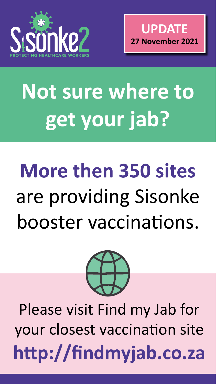

# **Not sure where to get your jab?**

### Please visit Find my Jab for your closest vaccination site **http://findmyjab.co.za**

## **More then 350 sites** are providing Sisonke booster vaccinations.